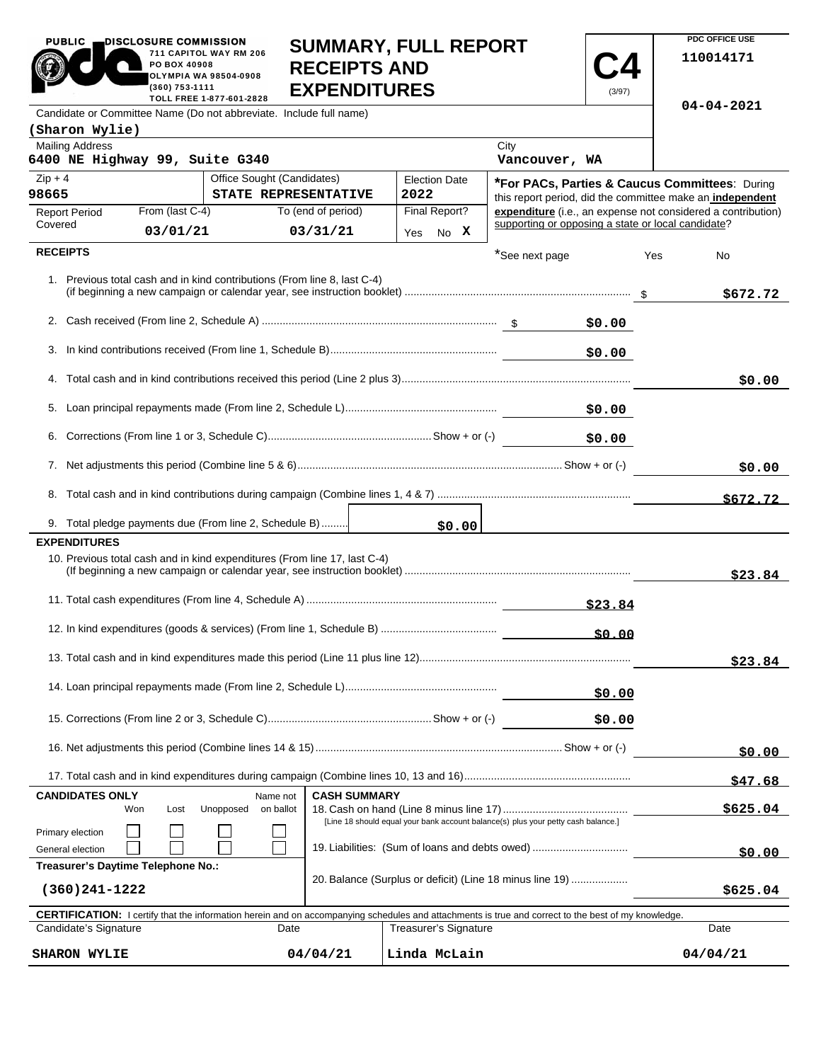|                 | 711 CAPITOL WAY RM 206<br>PO BOX 40908<br><b>RECEIPTS AND</b><br>OLYMPIA WA 98504-0908<br>(360) 753-1111<br><b>EXPENDITURES</b><br>TOLL FREE 1-877-601-2828 |                      | (3/97)                                             | 110014171                                                    |
|-----------------|-------------------------------------------------------------------------------------------------------------------------------------------------------------|----------------------|----------------------------------------------------|--------------------------------------------------------------|
|                 | Candidate or Committee Name (Do not abbreviate. Include full name)                                                                                          |                      |                                                    | $04 - 04 - 2021$                                             |
|                 | (Sharon Wylie)                                                                                                                                              |                      |                                                    |                                                              |
|                 | <b>Mailing Address</b><br>6400 NE Highway 99, Suite G340                                                                                                    |                      | City<br>Vancouver, WA                              |                                                              |
| $Zip + 4$       | Office Sought (Candidates)                                                                                                                                  | <b>Election Date</b> |                                                    | <b>"For PACs, Parties &amp; Caucus Committees: During</b>    |
| 98665           | STATE REPRESENTATIVE                                                                                                                                        | 2022                 |                                                    | this report period, did the committee make an independent    |
| Covered         | From (last C-4)<br>To (end of period)<br><b>Report Period</b>                                                                                               | Final Report?        | supporting or opposing a state or local candidate? | expenditure (i.e., an expense not considered a contribution) |
|                 | 03/01/21<br>03/31/21                                                                                                                                        | No X<br>Yes          |                                                    |                                                              |
| <b>RECEIPTS</b> |                                                                                                                                                             |                      | *See next page                                     | Yes<br><b>No</b>                                             |
|                 | 1. Previous total cash and in kind contributions (From line 8, last C-4)                                                                                    |                      |                                                    | \$672.72                                                     |
|                 |                                                                                                                                                             |                      | \$0.00                                             |                                                              |
|                 |                                                                                                                                                             |                      | \$0.00                                             |                                                              |
|                 |                                                                                                                                                             |                      |                                                    | \$0.00                                                       |
| 5.              |                                                                                                                                                             |                      | \$0.00                                             |                                                              |
| 6.              |                                                                                                                                                             |                      | \$0.00                                             |                                                              |
|                 |                                                                                                                                                             |                      |                                                    | \$0.00                                                       |
|                 |                                                                                                                                                             |                      |                                                    | \$672.72                                                     |
|                 | 9. Total pledge payments due (From line 2, Schedule B)                                                                                                      | \$0.00               |                                                    |                                                              |
|                 | <b>EXPENDITURES</b>                                                                                                                                         |                      |                                                    |                                                              |
|                 | 10. Previous total cash and in kind expenditures (From line 17, last C-4)                                                                                   |                      |                                                    | \$23.84                                                      |
|                 |                                                                                                                                                             |                      |                                                    |                                                              |
|                 |                                                                                                                                                             |                      |                                                    |                                                              |
|                 |                                                                                                                                                             |                      |                                                    | \$23.84                                                      |
|                 |                                                                                                                                                             |                      | \$0.00                                             |                                                              |
|                 |                                                                                                                                                             |                      | \$0.00                                             |                                                              |

**SUMMARY, FULL REPORT** 

**PDC OFFICE USE** 

**\$0.00**

**\$47.68**

**\$0.00**

**\$625.04**

PUBLIC **DISCLOSURE COMMISSION** 

**CANDIDATES ONLY** Name not

П  $\Box$ 

Primary election General election Won Lost Unopposed on ballot

| Treasurer's Daytime Telephone No.:                                                                                                                         |          |                                                          |          |  |  |  |  |
|------------------------------------------------------------------------------------------------------------------------------------------------------------|----------|----------------------------------------------------------|----------|--|--|--|--|
| (360)241-1222                                                                                                                                              |          | 20. Balance (Surplus or deficit) (Line 18 minus line 19) | \$625.04 |  |  |  |  |
| <b>CERTIFICATION:</b> I certify that the information herein and on accompanying schedules and attachments is true and correct to the best of my knowledge. |          |                                                          |          |  |  |  |  |
| Candidate's Signature                                                                                                                                      | Date     | <b>Treasurer's Signature</b>                             | Date     |  |  |  |  |
| <b>SHARON WYLIE</b>                                                                                                                                        | 04/04/21 | Linda McLain                                             | 04/04/21 |  |  |  |  |

18. Cash on hand (Line 8 minus line 17)..........................................

[Line 18 should equal your bank account balance(s) plus your petty cash balance.]

19. Liabilities: (Sum of loans and debts owed) .................................

16. Net adjustments this period (Combine lines 14 & 15) ................................................................................... Show + or (-)

17. Total cash and in kind expenditures during campaign (Combine lines 10, 13 and 16) ........................................................

┑

**CASH SUMMARY**